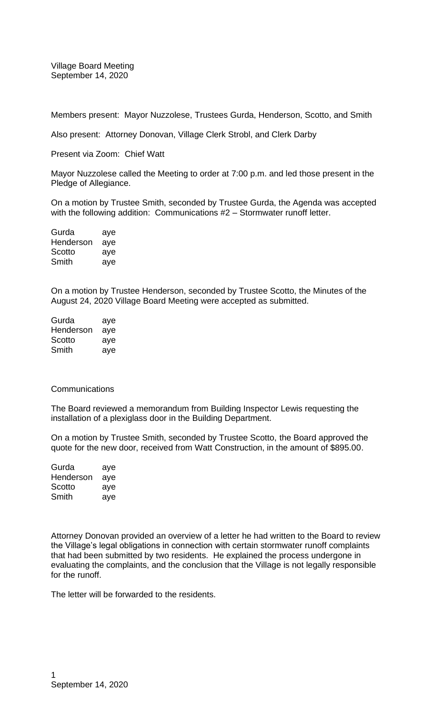Village Board Meeting September 14, 2020

Members present: Mayor Nuzzolese, Trustees Gurda, Henderson, Scotto, and Smith

Also present: Attorney Donovan, Village Clerk Strobl, and Clerk Darby

Present via Zoom: Chief Watt

Mayor Nuzzolese called the Meeting to order at 7:00 p.m. and led those present in the Pledge of Allegiance.

On a motion by Trustee Smith, seconded by Trustee Gurda, the Agenda was accepted with the following addition: Communications #2 – Stormwater runoff letter.

| Gurda     | aye |
|-----------|-----|
| Henderson | aye |
| Scotto    | aye |
| Smith     | aye |

On a motion by Trustee Henderson, seconded by Trustee Scotto, the Minutes of the August 24, 2020 Village Board Meeting were accepted as submitted.

| Gurda     | aye |
|-----------|-----|
| Henderson | aye |
| Scotto    | aye |
| Smith     | aye |

## **Communications**

The Board reviewed a memorandum from Building Inspector Lewis requesting the installation of a plexiglass door in the Building Department.

On a motion by Trustee Smith, seconded by Trustee Scotto, the Board approved the quote for the new door, received from Watt Construction, in the amount of \$895.00.

| Gurda     | aye |
|-----------|-----|
| Henderson | aye |
| Scotto    | aye |
| Smith     | aye |

Attorney Donovan provided an overview of a letter he had written to the Board to review the Village's legal obligations in connection with certain stormwater runoff complaints that had been submitted by two residents. He explained the process undergone in evaluating the complaints, and the conclusion that the Village is not legally responsible for the runoff.

The letter will be forwarded to the residents.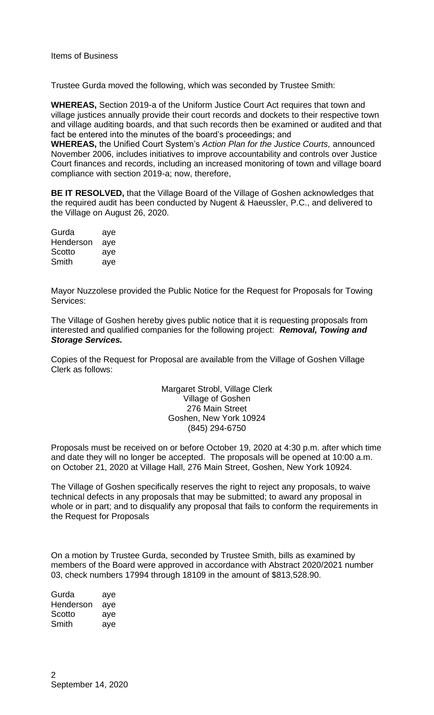Trustee Gurda moved the following, which was seconded by Trustee Smith:

**WHEREAS,** Section 2019-a of the Uniform Justice Court Act requires that town and village justices annually provide their court records and dockets to their respective town and village auditing boards, and that such records then be examined or audited and that fact be entered into the minutes of the board's proceedings; and

**WHEREAS,** the Unified Court System's *Action Plan for the Justice Courts,* announced November 2006, includes initiatives to improve accountability and controls over Justice Court finances and records, including an increased monitoring of town and village board compliance with section 2019-a; now, therefore,

**BE IT RESOLVED,** that the Village Board of the Village of Goshen acknowledges that the required audit has been conducted by Nugent & Haeussler, P.C., and delivered to the Village on August 26, 2020.

| Gurda     | aye |
|-----------|-----|
| Henderson | aye |
| Scotto    | aye |
| Smith     | aye |

Mayor Nuzzolese provided the Public Notice for the Request for Proposals for Towing Services:

The Village of Goshen hereby gives public notice that it is requesting proposals from interested and qualified companies for the following project: *Removal, Towing and Storage Services.*

Copies of the Request for Proposal are available from the Village of Goshen Village Clerk as follows:

> Margaret Strobl, Village Clerk Village of Goshen 276 Main Street Goshen, New York 10924 (845) 294-6750

Proposals must be received on or before October 19, 2020 at 4:30 p.m. after which time and date they will no longer be accepted. The proposals will be opened at 10:00 a.m. on October 21, 2020 at Village Hall, 276 Main Street, Goshen, New York 10924.

The Village of Goshen specifically reserves the right to reject any proposals, to waive technical defects in any proposals that may be submitted; to award any proposal in whole or in part; and to disqualify any proposal that fails to conform the requirements in the Request for Proposals

On a motion by Trustee Gurda, seconded by Trustee Smith, bills as examined by members of the Board were approved in accordance with Abstract 2020/2021 number 03, check numbers 17994 through 18109 in the amount of \$813,528.90.

| Gurda     | aye |
|-----------|-----|
| Henderson | aye |
| Scotto    | aye |
| Smith     | aye |